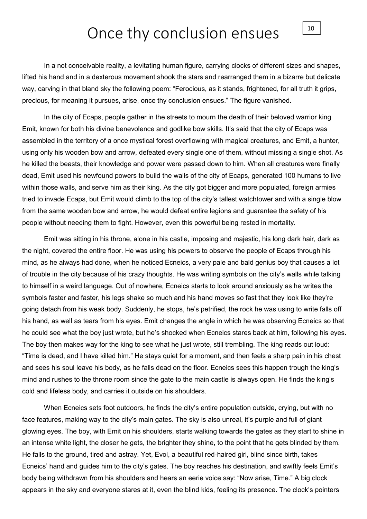## Once thy conclusion ensues

In a not conceivable reality, a levitating human figure, carrying clocks of different sizes and shapes, lifted his hand and in a dexterous movement shook the stars and rearranged them in a bizarre but delicate way, carving in that bland sky the following poem: "Ferocious, as it stands, frightened, for all truth it grips, precious, for meaning it pursues, arise, once thy conclusion ensues." The figure vanished.

In the city of Ecaps, people gather in the streets to mourn the death of their beloved warrior king Emit, known for both his divine benevolence and godlike bow skills. It's said that the city of Ecaps was assembled in the territory of a once mystical forest overflowing with magical creatures, and Emit, a hunter, using only his wooden bow and arrow, defeated every single one of them, without missing a single shot. As he killed the beasts, their knowledge and power were passed down to him. When all creatures were finally dead, Emit used his newfound powers to build the walls of the city of Ecaps, generated 100 humans to live within those walls, and serve him as their king. As the city got bigger and more populated, foreign armies tried to invade Ecaps, but Emit would climb to the top of the city's tallest watchtower and with a single blow from the same wooden bow and arrow, he would defeat entire legions and guarantee the safety of his people without needing them to fight. However, even this powerful being rested in mortality.

Emit was sitting in his throne, alone in his castle, imposing and majestic, his long dark hair, dark as the night, covered the entire floor. He was using his powers to observe the people of Ecaps through his mind, as he always had done, when he noticed Ecneics, a very pale and bald genius boy that causes a lot of trouble in the city because of his crazy thoughts. He was writing symbols on the city's walls while talking to himself in a weird language. Out of nowhere, Ecneics starts to look around anxiously as he writes the symbols faster and faster, his legs shake so much and his hand moves so fast that they look like they're going detach from his weak body. Suddenly, he stops, he's petrified, the rock he was using to write falls off his hand, as well as tears from his eyes. Emit changes the angle in which he was observing Ecneics so that he could see what the boy just wrote, but he's shocked when Ecneics stares back at him, following his eyes. The boy then makes way for the king to see what he just wrote, still trembling. The king reads out loud: "Time is dead, and I have killed him." He stays quiet for a moment, and then feels a sharp pain in his chest and sees his soul leave his body, as he falls dead on the floor. Ecneics sees this happen trough the king's mind and rushes to the throne room since the gate to the main castle is always open. He finds the king's cold and lifeless body, and carries it outside on his shoulders.

When Ecneics sets foot outdoors, he finds the city's entire population outside, crying, but with no face features, making way to the city's main gates. The sky is also unreal, it's purple and full of giant glowing eyes. The boy, with Emit on his shoulders, starts walking towards the gates as they start to shine in an intense white light, the closer he gets, the brighter they shine, to the point that he gets blinded by them. He falls to the ground, tired and astray. Yet, Evol, a beautiful red-haired girl, blind since birth, takes Ecneics' hand and guides him to the city's gates. The boy reaches his destination, and swiftly feels Emit's body being withdrawn from his shoulders and hears an eerie voice say: "Now arise, Time." A big clock appears in the sky and everyone stares at it, even the blind kids, feeling its presence. The clock's pointers

10